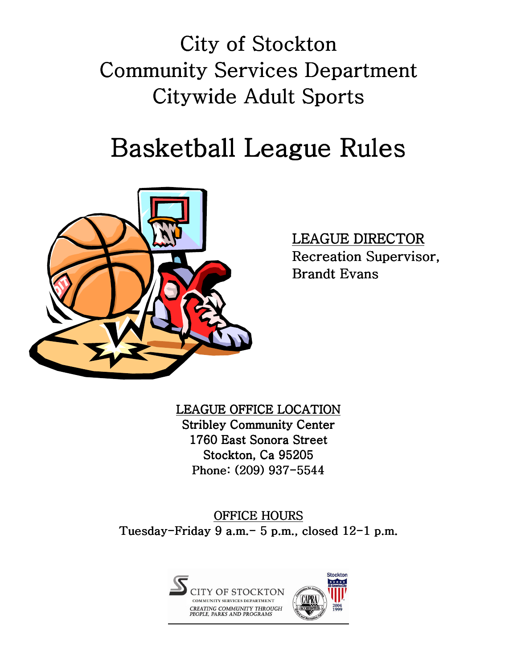City of Stockton Community Services Department Citywide Adult Sports

# Basketball League Rules



LEAGUE DIRECTOR Recreation Supervisor, Brandt Evans

LEAGUE OFFICE LOCATION **Stribley Community Center** 1760 East Sonora Street Stockton, Ca 95205 Phone: (209) 937-5544

OFFICE HOURS Tuesday-Friday 9 a.m.- 5 p.m., closed  $12$ -1 p.m.

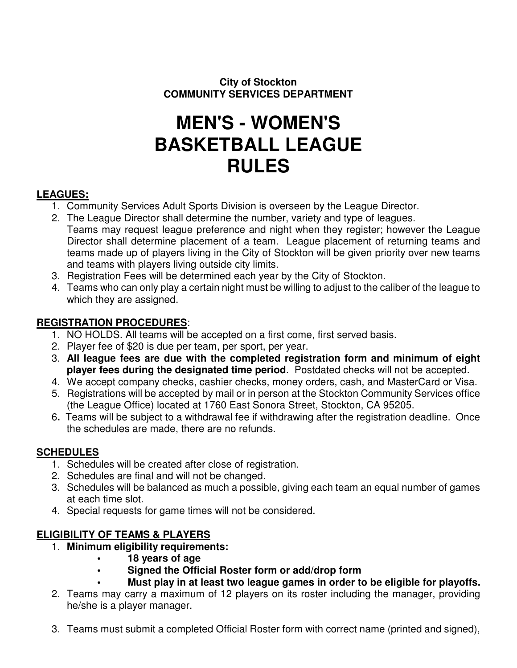#### **City of Stockton COMMUNITY SERVICES DEPARTMENT**

## **MEN'S - WOMEN'S BASKETBALL LEAGUE RULES**

#### **LEAGUES:**

- 1. Community Services Adult Sports Division is overseen by the League Director.
- 2. The League Director shall determine the number, variety and type of leagues. Teams may request league preference and night when they register; however the League Director shall determine placement of a team. League placement of returning teams and teams made up of players living in the City of Stockton will be given priority over new teams and teams with players living outside city limits.
- 3. Registration Fees will be determined each year by the City of Stockton.
- 4. Teams who can only play a certain night must be willing to adjust to the caliber of the league to which they are assigned.

#### **REGISTRATION PROCEDURES**:

- 1. NO HOLDS. All teams will be accepted on a first come, first served basis.
- 2. Player fee of \$20 is due per team, per sport, per year.
- 3. **All league fees are due with the completed registration form and minimum of eight player fees during the designated time period**. Postdated checks will not be accepted.
- 4. We accept company checks, cashier checks, money orders, cash, and MasterCard or Visa.
- 5. Registrations will be accepted by mail or in person at the Stockton Community Services office (the League Office) located at 1760 East Sonora Street, Stockton, CA 95205.
- 6**.** Teams will be subject to a withdrawal fee if withdrawing after the registration deadline. Once the schedules are made, there are no refunds.

#### **SCHEDULES**

- 1. Schedules will be created after close of registration.
- 2. Schedules are final and will not be changed.
- 3. Schedules will be balanced as much a possible, giving each team an equal number of games at each time slot.
- 4. Special requests for game times will not be considered.

#### **ELIGIBILITY OF TEAMS & PLAYERS**

- 1. **Minimum eligibility requirements:** 
	- **18 years of age**
	- **Signed the Official Roster form or add/drop form**
	- **Must play in at least two league games in order to be eligible for playoffs.**
- 2. Teams may carry a maximum of 12 players on its roster including the manager, providing he/she is a player manager.
- 3. Teams must submit a completed Official Roster form with correct name (printed and signed),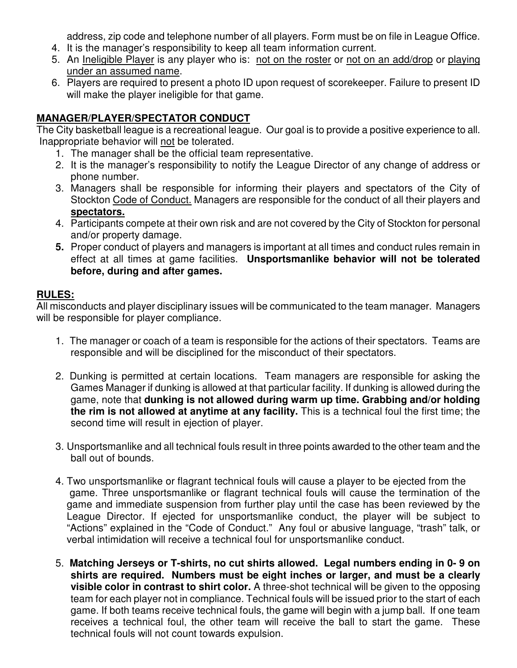address, zip code and telephone number of all players. Form must be on file in League Office.

- 4. It is the manager's responsibility to keep all team information current.
- 5. An Ineligible Player is any player who is: not on the roster or not on an add/drop or playing under an assumed name.
- 6. Players are required to present a photo ID upon request of scorekeeper. Failure to present ID will make the player ineligible for that game.

#### **MANAGER/PLAYER/SPECTATOR CONDUCT**

The City basketball league is a recreational league. Our goal is to provide a positive experience to all. Inappropriate behavior will not be tolerated.

- 1. The manager shall be the official team representative.
- 2. It is the manager's responsibility to notify the League Director of any change of address or phone number.
- 3. Managers shall be responsible for informing their players and spectators of the City of Stockton Code of Conduct. Managers are responsible for the conduct of all their players and **spectators.**
- 4. Participants compete at their own risk and are not covered by the City of Stockton for personal and/or property damage.
- **5.** Proper conduct of players and managers is important at all times and conduct rules remain in effect at all times at game facilities. **Unsportsmanlike behavior will not be tolerated before, during and after games.**

#### **RULES:**

All misconducts and player disciplinary issues will be communicated to the team manager. Managers will be responsible for player compliance.

- 1. The manager or coach of a team is responsible for the actions of their spectators. Teams are responsible and will be disciplined for the misconduct of their spectators.
- 2. Dunking is permitted at certain locations. Team managers are responsible for asking the Games Manager if dunking is allowed at that particular facility. If dunking is allowed during the game, note that **dunking is not allowed during warm up time. Grabbing and/or holding the rim is not allowed at anytime at any facility.** This is a technical foul the first time; the second time will result in ejection of player.
- 3. Unsportsmanlike and all technical fouls result in three points awarded to the other team and the ball out of bounds.
- 4. Two unsportsmanlike or flagrant technical fouls will cause a player to be ejected from the game. Three unsportsmanlike or flagrant technical fouls will cause the termination of the game and immediate suspension from further play until the case has been reviewed by the League Director. If ejected for unsportsmanlike conduct, the player will be subject to "Actions" explained in the "Code of Conduct." Any foul or abusive language, "trash" talk, or verbal intimidation will receive a technical foul for unsportsmanlike conduct.
- 5. **Matching Jerseys or T-shirts, no cut shirts allowed. Legal numbers ending in 0- 9 on shirts are required. Numbers must be eight inches or larger, and must be a clearly visible color in contrast to shirt color.** A three-shot technical will be given to the opposing team for each player not in compliance. Technical fouls will be issued prior to the start of each game. If both teams receive technical fouls, the game will begin with a jump ball. If one team receives a technical foul, the other team will receive the ball to start the game. These technical fouls will not count towards expulsion.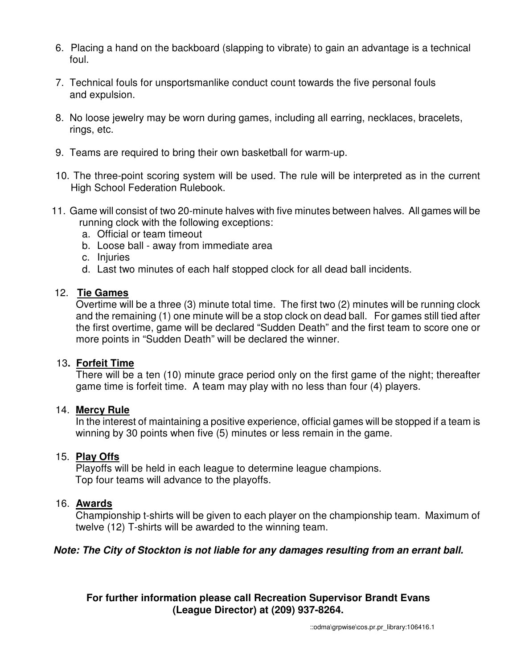- 6. Placing a hand on the backboard (slapping to vibrate) to gain an advantage is a technical foul.
- 7. Technical fouls for unsportsmanlike conduct count towards the five personal fouls and expulsion.
- 8. No loose jewelry may be worn during games, including all earring, necklaces, bracelets, rings, etc.
- 9. Teams are required to bring their own basketball for warm-up.
- 10. The three-point scoring system will be used. The rule will be interpreted as in the current High School Federation Rulebook.
- 11. Game will consist of two 20-minute halves with five minutes between halves. All games will be running clock with the following exceptions:
	- a. Official or team timeout
	- b. Loose ball away from immediate area
	- c. Injuries
	- d. Last two minutes of each half stopped clock for all dead ball incidents.

#### 12. **Tie Games**

Overtime will be a three (3) minute total time. The first two (2) minutes will be running clock and the remaining (1) one minute will be a stop clock on dead ball. For games still tied after the first overtime, game will be declared "Sudden Death" and the first team to score one or more points in "Sudden Death" will be declared the winner.

#### 13**. Forfeit Time**

There will be a ten (10) minute grace period only on the first game of the night; thereafter game time is forfeit time. A team may play with no less than four (4) players.

#### 14. **Mercy Rule**

In the interest of maintaining a positive experience, official games will be stopped if a team is winning by 30 points when five (5) minutes or less remain in the game.

#### 15. **Play Offs**

Playoffs will be held in each league to determine league champions. Top four teams will advance to the playoffs.

#### 16. **Awards**

Championship t-shirts will be given to each player on the championship team. Maximum of twelve (12) T-shirts will be awarded to the winning team.

#### **Note: The City of Stockton is not liable for any damages resulting from an errant ball.**

#### **For further information please call Recreation Supervisor Brandt Evans (League Director) at (209) 937-8264.**